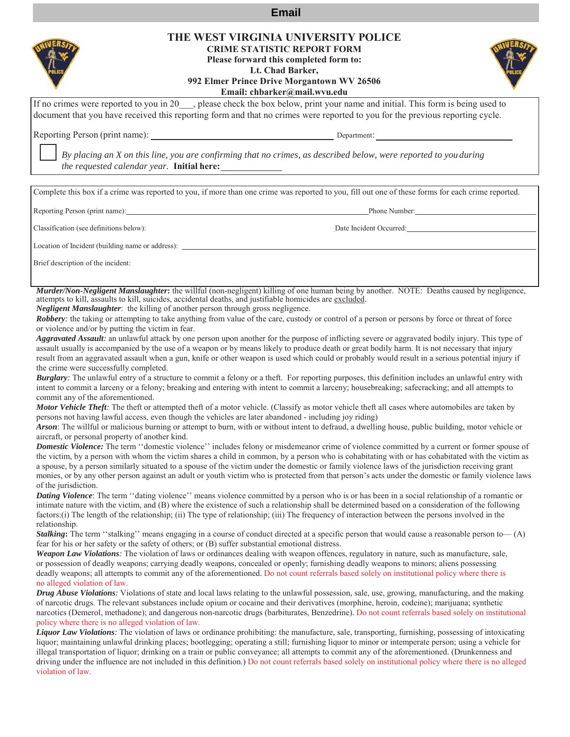# **Email**

# **THE WEST VIRGINIA UNIVERSITY POLICE**

**CRIME STATISTIC REPORT FORM**

**Please forward this completed form to: Lt. Chad Barker, 992 Elmer Prince Drive Morgantown WV 26506 Email: chbarker@mail.wvu.edu**

If no crimes were reported to you in 20 \_\_\_, please check the box below, print your name and initial. This form is being used to document that you have received this reporting form and that no crimes were reported to you for the previous reporting cycle.

Reporting Person (print name): Department:

*By placing an X on this line, you are confirming that no crimes, as described below, were reported to you during the requested calendar year.* **Initial here:**

Complete this box if a crime was reported to you, if more than one crime was reported to you, fill out one of these forms for each crime reported.

Reporting Person (print name): Phone Number:

Classification (see definitions below): Date Incident Occurred:

Location of Incident (building name or address):

Brief description of the incident:

*Murder/Non-Negligent Manslaughter***:** the willful (non-negligent) killing of one human being by another. NOTE: Deaths caused by negligence, attempts to kill, assaults to kill, suicides, accidental deaths, and justifiable homicides are excluded.

*Negligent Manslaughter*: the killing of another person through gross negligence.

*Robbery*: the taking or attempting to take anything from value of the care, custody or control of a person or persons by force or threat of force or violence and/or by putting the victim in fear.

*Aggravated Assault:* an unlawful attack by one person upon another for the purpose of inflicting severe or aggravated bodily injury. This type of assault usually is accompanied by the use of a weapon or by means likely to produce death or great bodily harm. It is not necessary that injury result from an aggravated assault when a gun, knife or other weapon is used which could or probably would result in a serious potential injury if the crime were successfully completed.

*Burglary*: The unlawful entry of a structure to commit a felony or a theft. For reporting purposes, this definition includes an unlawful entry with intent to commit a larceny or a felony; breaking and entering with intent to commit a larceny; housebreaking; safecracking; and all attempts to commit any of the aforementioned.

*Motor Vehicle Theft*: The theft or attempted theft of a motor vehicle. (Classify as motor vehicle theft all cases where automobiles are taken by persons not having lawful access, even though the vehicles are later abandoned - including joy riding)

*Arson*: The willful or malicious burning or attempt to burn, with or without intent to defraud, a dwelling house, public building, motor vehicle or aircraft, or personal property of another kind.

*Domestic Violence:* The term ''domestic violence'' includes felony or misdemeanor crime of violence committed by a current or former spouse of the victim, by a person with whom the victim shares a child in common, by a person who is cohabitating with or has cohabitated with the victim as a spouse, by a person similarly situated to a spouse of the victim under the domestic or family violence laws of the jurisdiction receiving grant monies, or by any other person against an adult or youth victim who is protected from that person's acts under the domestic or family violence laws of the jurisdiction.

*Dating Violence*: The term ''dating violence'' means violence committed by a person who is or has been in a social relationship of a romantic or intimate nature with the victim, and (B) where the existence of such a relationship shall be determined based on a consideration of the following factors:(i) The length of the relationship; (ii) The type of relationship; (iii) The frequency of interaction between the persons involved in the relationship.

*Stalking*: The term "stalking" means engaging in a course of conduct directed at a specific person that would cause a reasonable person to  $(A)$ fear for his or her safety or the safety of others; or (B) suffer substantial emotional distress.

*Weapon Law Violations:* The violation of laws or ordinances dealing with weapon offences, regulatory in nature, such as manufacture, sale, or possession of deadly weapons; carrying deadly weapons, concealed or openly; furnishing deadly weapons to minors; aliens possessing deadly weapons; all attempts to commit any of the aforementioned. Do not count referrals based solely on institutional policy where there is no alleged violation of law.

*Drug Abuse Violations:* Violations of state and local laws relating to the unlawful possession, sale, use, growing, manufacturing, and the making of narcotic drugs. The relevant substances include opium or cocaine and their derivatives (morphine, heroin, codeine); marijuana; synthetic narcotics (Demerol, methadone); and dangerous non-narcotic drugs (barbiturates, Benzedrine). Do not count referrals based solely on institutional policy where there is no alleged violation of law.

*Liquor Law Violations:* The violation of laws or ordinance prohibiting: the manufacture, sale, transporting, furnishing, possessing of intoxicating liquor; maintaining unlawful drinking places; bootlegging; operating a still; furnishing liquor to minor or intemperate person; using a vehicle for illegal transportation of liquor; drinking on a train or public conveyance; all attempts to commit any of the aforementioned. (Drunkenness and driving under the influence are not included in this definition.) Do not count referrals based solely on institutional policy where there is no alleged violation of law.